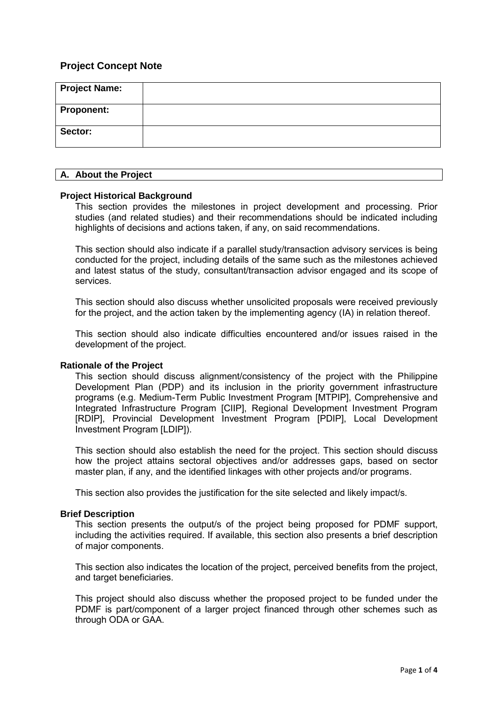## **Project Concept Note**

| Project Name: |  |
|---------------|--|
| Proponent:    |  |
| Sector:       |  |

#### **A. About the Project**

#### **Project Historical Background**

This section provides the milestones in project development and processing. Prior studies (and related studies) and their recommendations should be indicated including highlights of decisions and actions taken, if any, on said recommendations.

This section should also indicate if a parallel study/transaction advisory services is being conducted for the project, including details of the same such as the milestones achieved and latest status of the study, consultant/transaction advisor engaged and its scope of services.

This section should also discuss whether unsolicited proposals were received previously for the project, and the action taken by the implementing agency (IA) in relation thereof.

This section should also indicate difficulties encountered and/or issues raised in the development of the project.

### **Rationale of the Project**

This section should discuss alignment/consistency of the project with the Philippine Development Plan (PDP) and its inclusion in the priority government infrastructure programs (e.g. Medium-Term Public Investment Program [MTPIP], Comprehensive and Integrated Infrastructure Program [CIIP], Regional Development Investment Program [RDIP], Provincial Development Investment Program [PDIP], Local Development Investment Program [LDIP]).

This section should also establish the need for the project. This section should discuss how the project attains sectoral objectives and/or addresses gaps, based on sector master plan, if any, and the identified linkages with other projects and/or programs.

This section also provides the justification for the site selected and likely impact/s.

#### **Brief Description**

This section presents the output/s of the project being proposed for PDMF support, including the activities required. If available, this section also presents a brief description of major components.

This section also indicates the location of the project, perceived benefits from the project, and target beneficiaries.

This project should also discuss whether the proposed project to be funded under the PDMF is part/component of a larger project financed through other schemes such as through ODA or GAA.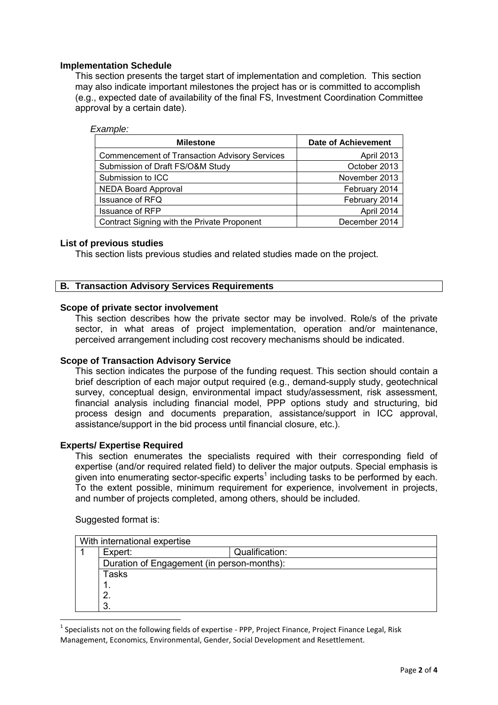## **Implementation Schedule**

This section presents the target start of implementation and completion. This section may also indicate important milestones the project has or is committed to accomplish (e.g., expected date of availability of the final FS, Investment Coordination Committee approval by a certain date).

#### *Example:*

| <b>Milestone</b>                                     | <b>Date of Achievement</b> |  |
|------------------------------------------------------|----------------------------|--|
| <b>Commencement of Transaction Advisory Services</b> | April 2013                 |  |
| Submission of Draft FS/O&M Study                     | October 2013               |  |
| Submission to ICC                                    | November 2013              |  |
| <b>NEDA Board Approval</b>                           | February 2014              |  |
| <b>Issuance of RFQ</b>                               | February 2014              |  |
| <b>Issuance of RFP</b>                               | April 2014                 |  |
| Contract Signing with the Private Proponent          | December 2014              |  |

### **List of previous studies**

This section lists previous studies and related studies made on the project.

## **B. Transaction Advisory Services Requirements**

## **Scope of private sector involvement**

This section describes how the private sector may be involved. Role/s of the private sector, in what areas of project implementation, operation and/or maintenance, perceived arrangement including cost recovery mechanisms should be indicated.

### **Scope of Transaction Advisory Service**

This section indicates the purpose of the funding request. This section should contain a brief description of each major output required (e.g., demand-supply study, geotechnical survey, conceptual design, environmental impact study/assessment, risk assessment, financial analysis including financial model, PPP options study and structuring, bid process design and documents preparation, assistance/support in ICC approval, assistance/support in the bid process until financial closure, etc.).

### **Experts/ Expertise Required**

This section enumerates the specialists required with their corresponding field of expertise (and/or required related field) to deliver the major outputs. Special emphasis is given into enumerating sector-specific experts<sup>1</sup> including tasks to be performed by each. To the extent possible, minimum requirement for experience, involvement in projects, and number of projects completed, among others, should be included.

Suggested format is:

1

| With international expertise |                                            |                |
|------------------------------|--------------------------------------------|----------------|
|                              | Expert:                                    | Qualification: |
|                              | Duration of Engagement (in person-months): |                |
|                              | Tasks                                      |                |
|                              |                                            |                |
|                              | 2.                                         |                |
|                              | 3.                                         |                |

 $<sup>1</sup>$  Specialists not on the following fields of expertise - PPP, Project Finance, Project Finance Legal, Risk</sup> Management, Economics, Environmental, Gender, Social Development and Resettlement.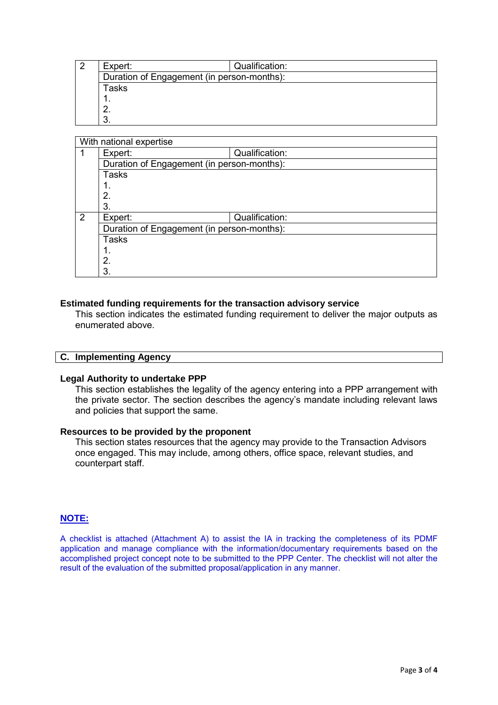| Expert:                                    | Qualification: |  |
|--------------------------------------------|----------------|--|
| Duration of Engagement (in person-months): |                |  |
| Tasks                                      |                |  |
| . .                                        |                |  |
| <u>.</u>                                   |                |  |
|                                            |                |  |

| With national expertise |                                            |                |  |
|-------------------------|--------------------------------------------|----------------|--|
|                         | Expert:                                    | Qualification: |  |
|                         | Duration of Engagement (in person-months): |                |  |
|                         | Tasks                                      |                |  |
|                         |                                            |                |  |
|                         | 2.                                         |                |  |
|                         | 3.                                         |                |  |
| 2                       | Expert:                                    | Qualification: |  |
|                         | Duration of Engagement (in person-months): |                |  |
|                         | <b>Tasks</b>                               |                |  |
|                         |                                            |                |  |
|                         | 2.                                         |                |  |
|                         | 3.                                         |                |  |

### **Estimated funding requirements for the transaction advisory service**

This section indicates the estimated funding requirement to deliver the major outputs as enumerated above.

| <b>C. Implementing Agency</b> |  |
|-------------------------------|--|
|                               |  |

## **Legal Authority to undertake PPP**

This section establishes the legality of the agency entering into a PPP arrangement with the private sector. The section describes the agency's mandate including relevant laws and policies that support the same.

#### **Resources to be provided by the proponent**

This section states resources that the agency may provide to the Transaction Advisors once engaged. This may include, among others, office space, relevant studies, and counterpart staff.

## **NOTE:**

A checklist is attached (Attachment A) to assist the IA in tracking the completeness of its PDMF application and manage compliance with the information/documentary requirements based on the accomplished project concept note to be submitted to the PPP Center. The checklist will not alter the result of the evaluation of the submitted proposal/application in any manner.